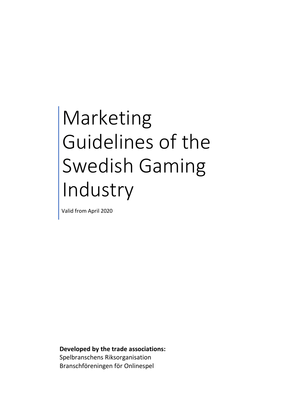# Marketing Guidelines of the Swedish Gaming Industry

Valid from April 2020

**Developed by the trade associations:** Spelbranschens Riksorganisation Branschföreningen för Onlinespel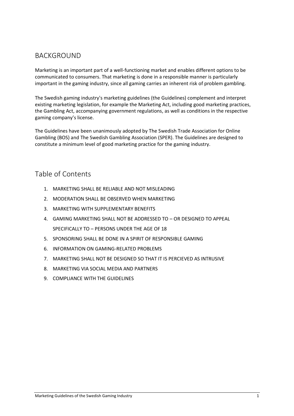# BACKGROUND

Marketing is an important part of a well-functioning market and enables different options to be communicated to consumers. That marketing is done in a responsible manner is particularly important in the gaming industry, since all gaming carries an inherent risk of problem gambling.

The Swedish gaming industry's marketing guidelines (the Guidelines) complement and interpret existing marketing legislation, for example the Marketing Act, including good marketing practices, the Gambling Act, accompanying government regulations, as well as conditions in the respective gaming company's license.

The Guidelines have been unanimously adopted by The Swedish Trade Association for Online Gambling (BOS) and The Swedish Gambling Association (SPER). The Guidelines are designed to constitute a minimum level of good marketing practice for the gaming industry.

## Table of Contents

- 1. MARKETING SHALL BE RELIABLE AND NOT MISLEADING
- 2. MODERATION SHALL BE OBSERVED WHEN MARKETING
- 3. MARKETING WITH SUPPLEMENTARY BENEFITS
- 4. GAMING MARKETING SHALL NOT BE ADDRESSED TO OR DESIGNED TO APPEAL SPECIFICALLY TO – PERSONS UNDER THE AGE OF 18
- 5. SPONSORING SHALL BE DONE IN A SPIRIT OF RESPONSIBLE GAMING
- 6. INFORMATION ON GAMING-RELATED PROBLEMS
- 7. MARKETING SHALL NOT BE DESIGNED SO THAT IT IS PERCIEVED AS INTRUSIVE
- 8. MARKETING VIA SOCIAL MEDIA AND PARTNERS
- 9. COMPLIANCE WITH THE GUIDELINES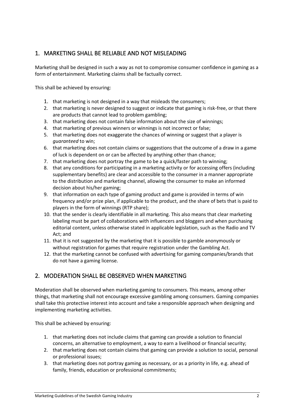### 1. MARKETING SHALL BE RELIABLE AND NOT MISLEADING

Marketing shall be designed in such a way as not to compromise consumer confidence in gaming as a form of entertainment. Marketing claims shall be factually correct.

This shall be achieved by ensuring:

- 1. that marketing is not designed in a way that misleads the consumers;
- 2. that marketing is never designed to suggest or indicate that gaming is risk-free, or that there are products that cannot lead to problem gambling;
- 3. that marketing does not contain false information about the size of winnings;
- 4. that marketing of previous winners or winnings is not incorrect or false;
- 5. that marketing does not exaggerate the chances of winning or suggest that a player is *guaranteed* to win;
- 6. that marketing does not contain claims or suggestions that the outcome of a draw in a game of luck is dependent on or can be affected by anything other than chance;
- 7. that marketing does not portray the game to be a quick/faster path to winning;
- 8. that any conditions for participating in a marketing activity or for accessing offers (including supplementary benefits) are clear and accessible to the consumer in a manner appropriate to the distribution and marketing channel, allowing the consumer to make an informed decision about his/her gaming;
- 9. that information on each type of gaming product and game is provided in terms of win frequency and/or prize plan, if applicable to the product, and the share of bets that is paid to players in the form of winnings (RTP share);
- 10. that the sender is clearly identifiable in all marketing. This also means that clear marketing labeling must be part of collaborations with influencers and bloggers and when purchasing editorial content, unless otherwise stated in applicable legislation, such as the Radio and TV Act; and
- 11. that it is not suggested by the marketing that it is possible to gamble anonymously or without registration for games that require registration under the Gambling Act.
- 12. that the marketing cannot be confused with advertising for gaming companies/brands that do not have a gaming license.

#### 2. MODERATION SHALL BE OBSERVED WHEN MARKETING

Moderation shall be observed when marketing gaming to consumers. This means, among other things, that marketing shall not encourage excessive gambling among consumers. Gaming companies shall take this protective interest into account and take a responsible approach when designing and implementing marketing activities.

- 1. that marketing does not include claims that gaming can provide a solution to financial concerns, an alternative to employment, a way to earn a livelihood or financial security;
- 2. that marketing does not contain claims that gaming can provide a solution to social, personal or professional issues;
- 3. that marketing does not portray gaming as necessary, or as a priority in life, e.g. ahead of family, friends, education or professional commitments;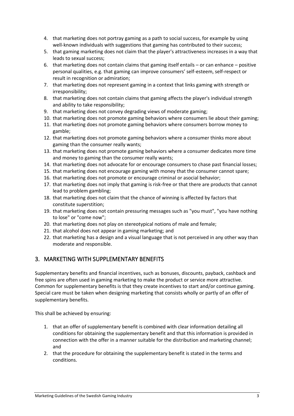- 4. that marketing does not portray gaming as a path to social success, for example by using well-known individuals with suggestions that gaming has contributed to their success;
- 5. that gaming marketing does not claim that the player's attractiveness increases in a way that leads to sexual success;
- 6. that marketing does not contain claims that gaming itself entails or can enhance positive personal qualities, e.g. that gaming can improve consumers' self-esteem, self-respect or result in recognition or admiration;
- 7. that marketing does not represent gaming in a context that links gaming with strength or irresponsibility;
- 8. that marketing does not contain claims that gaming affects the player's individual strength and ability to take responsibility;
- 9. that marketing does not convey degrading views of moderate gaming;
- 10. that marketing does not promote gaming behaviors where consumers lie about their gaming;
- 11. that marketing does not promote gaming behaviors where consumers borrow money to gamble;
- 12. that marketing does not promote gaming behaviors where a consumer thinks more about gaming than the consumer really wants;
- 13. that marketing does not promote gaming behaviors where a consumer dedicates more time and money to gaming than the consumer really wants;
- 14. that marketing does not advocate for or encourage consumers to chase past financial losses;
- 15. that marketing does not encourage gaming with money that the consumer cannot spare;
- 16. that marketing does not promote or encourage criminal or asocial behavior;
- 17. that marketing does not imply that gaming is risk-free or that there are products that cannot lead to problem gambling;
- 18. that marketing does not claim that the chance of winning is affected by factors that constitute superstition;
- 19. that marketing does not contain pressuring messages such as "you must", "you have nothing to lose" or "come now";
- 20. that marketing does not play on stereotypical notions of male and female;
- 21. that alcohol does not appear in gaming marketing; and
- 22. that marketing has a design and a visual language that is not perceived in any other way than moderate and responsible.

#### 3. MARKETING WITH SUPPLEMENTARY BENEFITS

Supplementary benefits and financial incentives, such as bonuses, discounts, payback, cashback and free spins are often used in gaming marketing to make the product or service more attractive. Common for supplementary benefits is that they create incentives to start and/or continue gaming. Special care must be taken when designing marketing that consists wholly or partly of an offer of supplementary benefits.

- 1. that an offer of supplementary benefit is combined with clear information detailing all conditions for obtaining the supplementary benefit and that this information is provided in connection with the offer in a manner suitable for the distribution and marketing channel; and
- 2. that the procedure for obtaining the supplementary benefit is stated in the terms and conditions.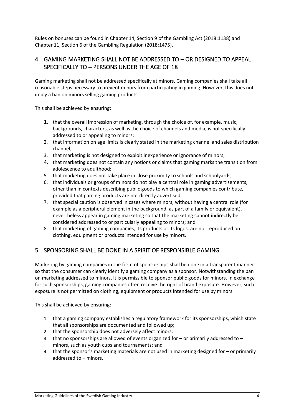Rules on bonuses can be found in Chapter 14, Section 9 of the Gambling Act (2018:1138) and Chapter 11, Section 6 of the Gambling Regulation (2018:1475).

#### 4. GAMING MARKETING SHALL NOT BE ADDRESSED TO – OR DESIGNED TO APPEAL SPECIFICALLY TO – PERSONS UNDER THE AGE OF 18

Gaming marketing shall not be addressed specifically at minors. Gaming companies shall take all reasonable steps necessary to prevent minors from participating in gaming. However, this does not imply a ban on minors selling gaming products.

This shall be achieved by ensuring:

- 1. that the overall impression of marketing, through the choice of, for example, music, backgrounds, characters, as well as the choice of channels and media, is not specifically addressed to or appealing to minors;
- 2. that information on age limits is clearly stated in the marketing channel and sales distribution channel;
- 3. that marketing is not designed to exploit inexperience or ignorance of minors;
- 4. that marketing does not contain any notions or claims that gaming marks the transition from adolescence to adulthood;
- 5. that marketing does not take place in close proximity to schools and schoolyards;
- 6. that individuals or groups of minors do not play a central role in gaming advertisements, other than in contexts describing public goods to which gaming companies contribute, provided that gaming products are not directly advertised;
- 7. that special caution is observed in cases where minors, without having a central role (for example as a peripheral element in the background, as part of a family or equivalent), nevertheless appear in gaming marketing so that the marketing cannot indirectly be considered addressed to or particularly appealing to minors; and
- 8. that marketing of gaming companies, its products or its logos, are not reproduced on clothing, equipment or products intended for use by minors.

### 5. SPONSORING SHALL BE DONE IN A SPIRIT OF RESPONSIBLE GAMING

Marketing by gaming companies in the form of sponsorships shall be done in a transparent manner so that the consumer can clearly identify a gaming company as a sponsor. Notwithstanding the ban on marketing addressed to minors, it is permissible to sponsor public goods for minors. In exchange for such sponsorships, gaming companies often receive the right of brand exposure. However, such exposure is not permitted on clothing, equipment or products intended for use by minors.

- 1. that a gaming company establishes a regulatory framework for its sponsorships, which state that all sponsorships are documented and followed up;
- 2. that the sponsorship does not adversely affect minors;
- 3. that no sponsorships are allowed of events organized for  $-$  or primarily addressed to  $$ minors, such as youth cups and tournaments; and
- 4. that the sponsor's marketing materials are not used in marketing designed for or primarily addressed to – minors.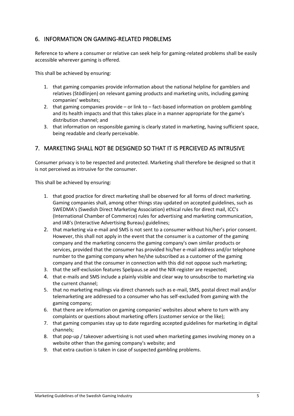#### 6. INFORMATION ON GAMING-RELATED PROBLEMS

Reference to where a consumer or relative can seek help for gaming-related problems shall be easily accessible wherever gaming is offered.

This shall be achieved by ensuring:

- 1. that gaming companies provide information about the national helpline for gamblers and relatives (Stödlinjen) on relevant gaming products and marketing units, including gaming companies' websites;
- 2. that gaming companies provide or link to fact-based information on problem gambling and its health impacts and that this takes place in a manner appropriate for the game's distribution channel; and
- 3. that information on responsible gaming is clearly stated in marketing, having sufficient space, being readable and clearly perceivable.

#### 7. MARKETING SHALL NOT BE DESIGNED SO THAT IT IS PERCIEVED AS INTRUSIVE

Consumer privacy is to be respected and protected. Marketing shall therefore be designed so that it is not perceived as intrusive for the consumer.

- 1. that good practice for direct marketing shall be observed for all forms of direct marketing. Gaming companies shall, among other things stay updated on accepted guidelines, such as SWEDMA's (Swedish Direct Marketing Association) ethical rules for direct mail, ICC's (International Chamber of Commerce) rules for advertising and marketing communication, and IAB's (Interactive Advertising Bureau) guidelines;
- 2. that marketing via e-mail and SMS is not sent to a consumer without his/her's prior consent. However, this shall not apply in the event that the consumer is a customer of the gaming company and the marketing concerns the gaming company's own similar products or services, provided that the consumer has provided his/her e-mail address and/or telephone number to the gaming company when he/she subscribed as a customer of the gaming company and that the consumer in connection with this did not oppose such marketing;
- 3. that the self-exclusion features Spelpaus.se and the NIX-register are respected;
- 4. that e-mails and SMS include a plainly visible and clear way to unsubscribe to marketing via the current channel;
- 5. that no marketing mailings via direct channels such as e-mail, SMS, postal direct mail and/or telemarketing are addressed to a consumer who has self-excluded from gaming with the gaming company;
- 6. that there are information on gaming companies' websites about where to turn with any complaints or questions about marketing offers (customer service or the like);
- 7. that gaming companies stay up to date regarding accepted guidelines for marketing in digital channels;
- 8. that pop-up / takeover advertising is not used when marketing games involving money on a website other than the gaming company's website; and
- 9. that extra caution is taken in case of suspected gambling problems.